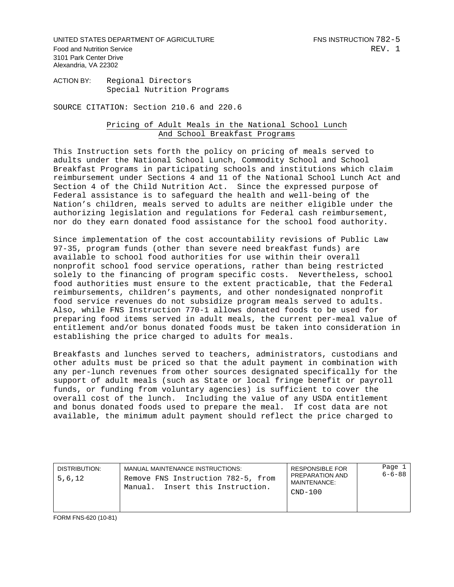UNITED STATES DEPARTMENT OF AGRICULTURE FINS INSTRUCTION 782-5 Food and Nutrition Service **REV.** 1 3101 Park Center Drive Alexandria, VA 22302

ACTION BY: Regional Directors Special Nutrition Programs

SOURCE CITATION: Section 210.6 and 220.6

## Pricing of Adult Meals in the National School Lunch And School Breakfast Programs

This Instruction sets forth the policy on pricing of meals served to adults under the National School Lunch, Commodity School and School Breakfast Programs in participating schools and institutions which claim reimbursement under Sections 4 and 11 of the National School Lunch Act and Section 4 of the Child Nutrition Act. Since the expressed purpose of Federal assistance is to safeguard the health and well-being of the Nation's children, meals served to adults are neither eligible under the authorizing legislation and regulations for Federal cash reimbursement, nor do they earn donated food assistance for the school food authority.

Since implementation of the cost accountability revisions of Public Law 97-35, program funds (other than severe need breakfast funds) are available to school food authorities for use within their overall nonprofit school food service operations, rather than being restricted solely to the financing of program specific costs. Nevertheless, school food authorities must ensure to the extent practicable, that the Federal reimbursements, children's payments, and other nondesignated nonprofit food service revenues do not subsidize program meals served to adults. Also, while FNS Instruction 770-1 allows donated foods to be used for preparing food items served in adult meals, the current per-meal value of entitlement and/or bonus donated foods must be taken into consideration in establishing the price charged to adults for meals.

Breakfasts and lunches served to teachers, administrators, custodians and other adults must be priced so that the adult payment in combination with any per-lunch revenues from other sources designated specifically for the support of adult meals (such as State or local fringe benefit or payroll funds, or funding from voluntary agencies) is sufficient to cover the overall cost of the lunch. Including the value of any USDA entitlement and bonus donated foods used to prepare the meal. If cost data are not available, the minimum adult payment should reflect the price charged to

| DISTRIBUTION:<br>5,6,12 | MANUAL MAINTENANCE INSTRUCTIONS:<br>Remove FNS Instruction 782-5, from<br>Manual. Insert this Instruction. | <b>RESPONSIBLE FOR</b><br>PREPARATION AND<br>MAINTENANCE:<br>$CND-100$ | Page 1<br>$6 - 6 - 88$ |
|-------------------------|------------------------------------------------------------------------------------------------------------|------------------------------------------------------------------------|------------------------|
|-------------------------|------------------------------------------------------------------------------------------------------------|------------------------------------------------------------------------|------------------------|

FORM FNS-620 (10-81)